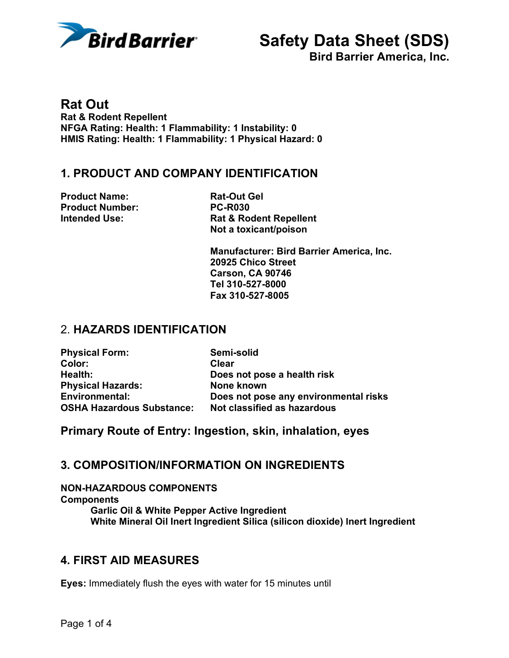

**Bird Barrier America, Inc.**

**Rat Out Rat & Rodent Repellent NFGA Rating: Health: 1 Flammability: 1 Instability: 0 HMIS Rating: Health: 1 Flammability: 1 Physical Hazard: 0** 

#### **1. PRODUCT AND COMPANY IDENTIFICATION**

**Product Name:** Rat-Out Gel **Product Number: PC-R030**

**Intended Use:** Rat & Rodent Repellent **Not a toxicant/poison** 

> **Manufacturer: Bird Barrier America, Inc. 20925 Chico Street Carson, CA 90746 Tel 310-527-8000 Fax 310-527-8005**

### 2. **HAZARDS IDENTIFICATION**

| <b>Physical Form:</b>            | Semi-solid                            |
|----------------------------------|---------------------------------------|
| Color:                           | Clear                                 |
| Health:                          | Does not pose a health risk           |
| <b>Physical Hazards:</b>         | None known                            |
| <b>Environmental:</b>            | Does not pose any environmental risks |
| <b>OSHA Hazardous Substance:</b> | Not classified as hazardous           |

**Primary Route of Entry: Ingestion, skin, inhalation, eyes**

#### **3. COMPOSITION/INFORMATION ON INGREDIENTS**

**NON-HAZARDOUS COMPONENTS Components Garlic Oil & White Pepper Active Ingredient White Mineral Oil Inert Ingredient Silica (silicon dioxide) Inert Ingredient** 

#### **4. FIRST AID MEASURES**

**Eyes:** Immediately flush the eyes with water for 15 minutes until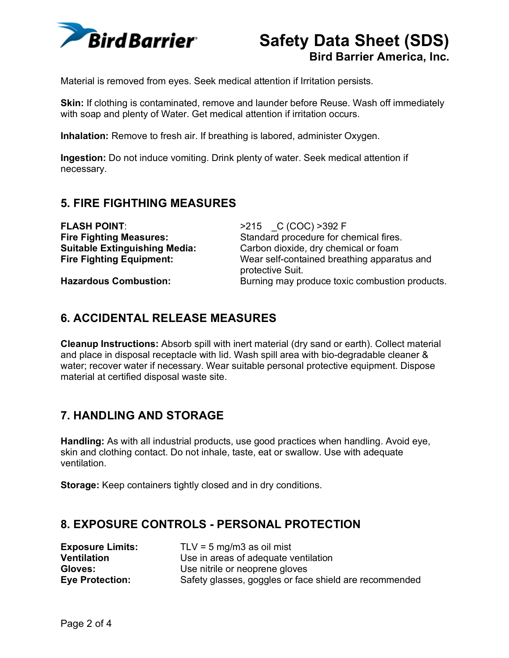

**Bird Barrier America, Inc.**

Material is removed from eyes. Seek medical attention if Irritation persists.

**Skin:** If clothing is contaminated, remove and launder before Reuse. Wash off immediately with soap and plenty of Water. Get medical attention if irritation occurs.

**Inhalation:** Remove to fresh air. If breathing is labored, administer Oxygen.

**Ingestion:** Do not induce vomiting. Drink plenty of water. Seek medical attention if necessary.

# **5. FIRE FIGHTHING MEASURES**

| <b>FLASH POINT:</b>                  | >215 C (COC) >392 F                                             |
|--------------------------------------|-----------------------------------------------------------------|
| <b>Fire Fighting Measures:</b>       | Standard procedure for chemical fires.                          |
| <b>Suitable Extinguishing Media:</b> | Carbon dioxide, dry chemical or foam                            |
| <b>Fire Fighting Equipment:</b>      | Wear self-contained breathing apparatus and<br>protective Suit. |
| <b>Hazardous Combustion:</b>         | Burning may produce toxic combustion products.                  |

# **6. ACCIDENTAL RELEASE MEASURES**

**Cleanup Instructions:** Absorb spill with inert material (dry sand or earth). Collect material and place in disposal receptacle with lid. Wash spill area with bio-degradable cleaner & water; recover water if necessary. Wear suitable personal protective equipment. Dispose material at certified disposal waste site.

#### **7. HANDLING AND STORAGE**

**Handling:** As with all industrial products, use good practices when handling. Avoid eye, skin and clothing contact. Do not inhale, taste, eat or swallow. Use with adequate ventilation.

**Storage:** Keep containers tightly closed and in dry conditions.

#### **8. EXPOSURE CONTROLS - PERSONAL PROTECTION**

| <b>Exposure Limits:</b> | TLV = $5 \text{ mg/m}$ 3 as oil mist                   |
|-------------------------|--------------------------------------------------------|
| <b>Ventilation</b>      | Use in areas of adequate ventilation                   |
| <b>Gloves:</b>          | Use nitrile or neoprene gloves                         |
| <b>Eye Protection:</b>  | Safety glasses, goggles or face shield are recommended |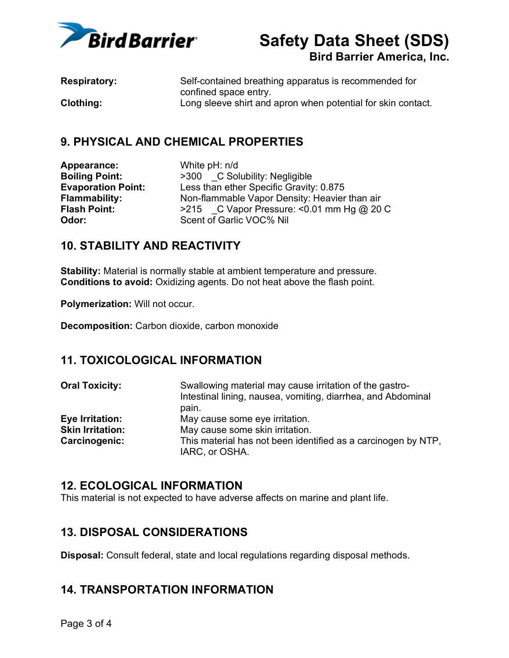

**Bird Barrier America, Inc.**

| <b>Respiratory:</b> | Self-contained breathing apparatus is recommended for        |
|---------------------|--------------------------------------------------------------|
|                     | confined space entry.                                        |
| <b>Clothing:</b>    | Long sleeve shirt and apron when potential for skin contact. |

#### **9. PHYSICAL AND CHEMICAL PROPERTIES**

**Appearance:** White pH: n/d

**Boiling Point:**  $\rightarrow$  300  $\_\_C$  Solubility: Negligible<br> **Evaporation Point:** Less than ether Specific Gravity Less than ether Specific Gravity: 0.875 **Flammability:** Non-flammable Vapor Density: Heavier than air **Flash Point:** >215 C Vapor Pressure: <0.01 mm Hg @ 20 C **Odor:** Scent of Garlic VOC% Nil

# **10. STABILITY AND REACTIVITY**

**Stability:** Material is normally stable at ambient temperature and pressure. **Conditions to avoid:** Oxidizing agents. Do not heat above the flash point.

**Polymerization:** Will not occur.

**Decomposition:** Carbon dioxide, carbon monoxide

# **11. TOXICOLOGICAL INFORMATION**

| <b>Oral Toxicity:</b>   | Swallowing material may cause irritation of the gastro-<br>Intestinal lining, nausea, vomiting, diarrhea, and Abdominal |
|-------------------------|-------------------------------------------------------------------------------------------------------------------------|
|                         | pain.                                                                                                                   |
| Eye Irritation:         | May cause some eye irritation.                                                                                          |
| <b>Skin Irritation:</b> | May cause some skin irritation.                                                                                         |
| Carcinogenic:           | This material has not been identified as a carcinogen by NTP,                                                           |
|                         | IARC, or OSHA.                                                                                                          |

#### **12. ECOLOGICAL INFORMATION**

This material is not expected to have adverse affects on marine and plant life.

#### **13. DISPOSAL CONSIDERATIONS**

**Disposal:** Consult federal, state and local regulations regarding disposal methods.

#### **14. TRANSPORTATION INFORMATION**